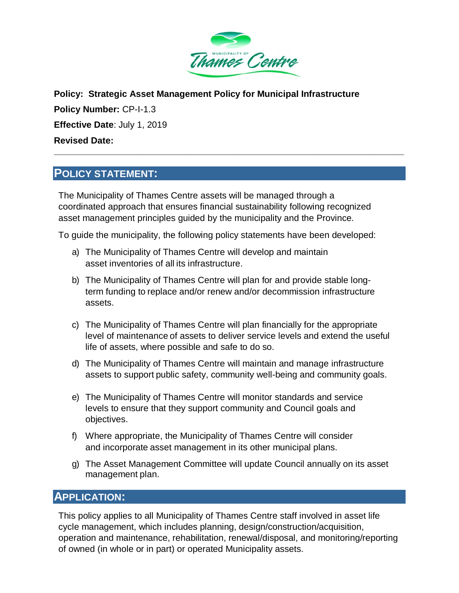

**Policy: Strategic Asset Management Policy for Municipal Infrastructure Policy Number:** CP-I-1.3 **Effective Date**: July 1, 2019 **Revised Date: \_\_\_\_\_\_\_\_\_\_\_\_\_\_\_\_\_\_\_\_\_\_\_\_\_\_\_\_\_\_\_\_\_\_\_\_\_\_\_\_\_\_\_\_\_\_\_\_\_\_\_\_\_\_\_\_\_\_\_\_\_\_\_\_\_\_\_\_\_\_**

## **POLICY STATEMENT:**

The Municipality of Thames Centre assets will be managed through a coordinated approach that ensures financial sustainability following recognized asset management principles guided by the municipality and the Province.

To guide the municipality, the following policy statements have been developed:

- a) The Municipality of Thames Centre will develop and maintain asset inventories of all its infrastructure.
- b) The Municipality of Thames Centre will plan for and provide stable longterm funding to replace and/or renew and/or decommission infrastructure assets.
- c) The Municipality of Thames Centre will plan financially for the appropriate level of maintenance of assets to deliver service levels and extend the useful life of assets, where possible and safe to do so.
- d) The Municipality of Thames Centre will maintain and manage infrastructure assets to support public safety, community well-being and community goals.
- e) The Municipality of Thames Centre will monitor standards and service levels to ensure that they support community and Council goals and objectives.
- f) Where appropriate, the Municipality of Thames Centre will consider and incorporate asset management in its other municipal plans.
- g) The Asset Management Committee will update Council annually on its asset management plan.

### **APPLICATION:**

This policy applies to all Municipality of Thames Centre staff involved in asset life cycle management, which includes planning, design/construction/acquisition, operation and maintenance, rehabilitation, renewal/disposal, and monitoring/reporting of owned (in whole or in part) or operated Municipality assets.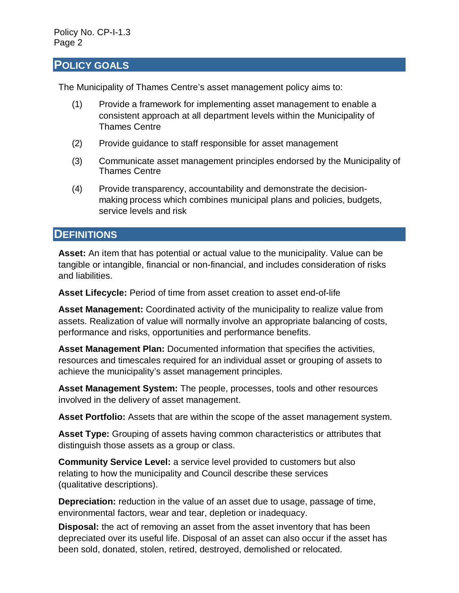### **POLICY GOALS**

The Municipality of Thames Centre's asset management policy aims to:

- (1) Provide a framework for implementing asset management to enable a consistent approach at all department levels within the Municipality of Thames Centre
- (2) Provide guidance to staff responsible for asset management
- (3) Communicate asset management principles endorsed by the Municipality of Thames Centre
- (4) Provide transparency, accountability and demonstrate the decisionmaking process which combines municipal plans and policies, budgets, service levels and risk

### **DEFINITIONS**

**Asset:** An item that has potential or actual value to the municipality. Value can be tangible or intangible, financial or non-financial, and includes consideration of risks and liabilities.

**Asset Lifecycle:** Period of time from asset creation to asset end-of-life

**Asset Management:** Coordinated activity of the municipality to realize value from assets. Realization of value will normally involve an appropriate balancing of costs, performance and risks, opportunities and performance benefits.

**Asset Management Plan:** Documented information that specifies the activities, resources and timescales required for an individual asset or grouping of assets to achieve the municipality's asset management principles.

**Asset Management System:** The people, processes, tools and other resources involved in the delivery of asset management.

**Asset Portfolio:** Assets that are within the scope of the asset management system.

**Asset Type:** Grouping of assets having common characteristics or attributes that distinguish those assets as a group or class.

**Community Service Level:** a service level provided to customers but also relating to how the municipality and Council describe these services (qualitative descriptions).

**Depreciation:** reduction in the value of an asset due to usage, passage of time, environmental factors, wear and tear, depletion or inadequacy.

**Disposal:** the act of removing an asset from the asset inventory that has been depreciated over its useful life. Disposal of an asset can also occur if the asset has been sold, donated, stolen, retired, destroyed, demolished or relocated.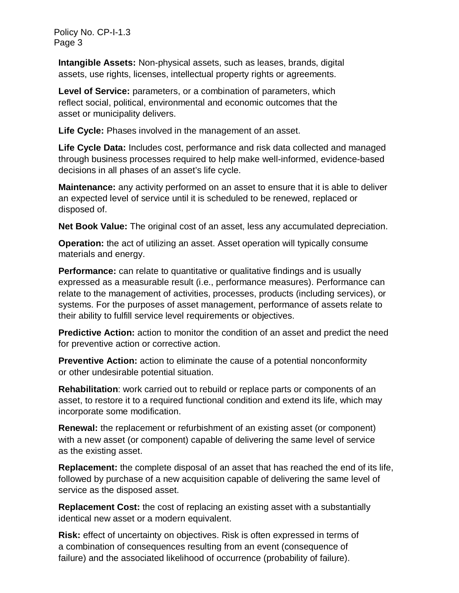**Intangible Assets:** Non-physical assets, such as leases, brands, digital assets, use rights, licenses, intellectual property rights or agreements.

Level of Service: parameters, or a combination of parameters, which reflect social, political, environmental and economic outcomes that the asset or municipality delivers.

**Life Cycle:** Phases involved in the management of an asset.

**Life Cycle Data:** Includes cost, performance and risk data collected and managed through business processes required to help make well-informed, evidence-based decisions in all phases of an asset's life cycle.

**Maintenance:** any activity performed on an asset to ensure that it is able to deliver an expected level of service until it is scheduled to be renewed, replaced or disposed of.

**Net Book Value:** The original cost of an asset, less any accumulated depreciation.

**Operation:** the act of utilizing an asset. Asset operation will typically consume materials and energy.

**Performance:** can relate to quantitative or qualitative findings and is usually expressed as a measurable result (i.e., performance measures). Performance can relate to the management of activities, processes, products (including services), or systems. For the purposes of asset management, performance of assets relate to their ability to fulfill service level requirements or objectives.

**Predictive Action:** action to monitor the condition of an asset and predict the need for preventive action or corrective action.

**Preventive Action:** action to eliminate the cause of a potential nonconformity or other undesirable potential situation.

**Rehabilitation**: work carried out to rebuild or replace parts or components of an asset, to restore it to a required functional condition and extend its life, which may incorporate some modification.

**Renewal:** the replacement or refurbishment of an existing asset (or component) with a new asset (or component) capable of delivering the same level of service as the existing asset.

**Replacement:** the complete disposal of an asset that has reached the end of its life, followed by purchase of a new acquisition capable of delivering the same level of service as the disposed asset.

**Replacement Cost:** the cost of replacing an existing asset with a substantially identical new asset or a modern equivalent.

**Risk:** effect of uncertainty on objectives. Risk is often expressed in terms of a combination of consequences resulting from an event (consequence of failure) and the associated likelihood of occurrence (probability of failure).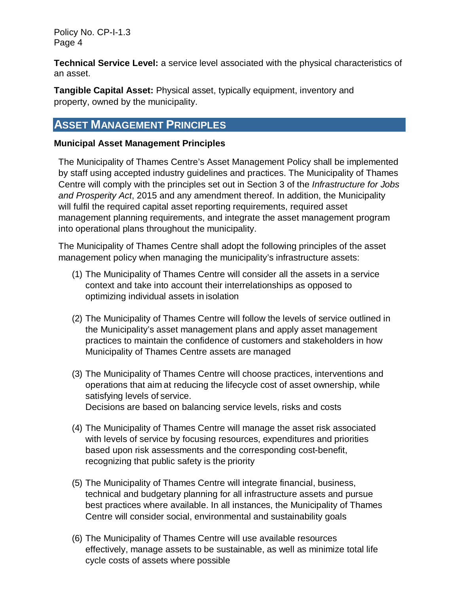**Technical Service Level:** a service level associated with the physical characteristics of an asset.

**Tangible Capital Asset:** Physical asset, typically equipment, inventory and property, owned by the municipality.

## **ASSET MANAGEMENT PRINCIPLES**

### **Municipal Asset Management Principles**

The Municipality of Thames Centre's Asset Management Policy shall be implemented by staff using accepted industry guidelines and practices. The Municipality of Thames Centre will comply with the principles set out in Section 3 of the *Infrastructure for Jobs and Prosperity Act*, 2015 and any amendment thereof. In addition, the Municipality will fulfil the required capital asset reporting requirements, required asset management planning requirements, and integrate the asset management program into operational plans throughout the municipality.

The Municipality of Thames Centre shall adopt the following principles of the asset management policy when managing the municipality's infrastructure assets:

- (1) The Municipality of Thames Centre will consider all the assets in a service context and take into account their interrelationships as opposed to optimizing individual assets in isolation
- (2) The Municipality of Thames Centre will follow the levels of service outlined in the Municipality's asset management plans and apply asset management practices to maintain the confidence of customers and stakeholders in how Municipality of Thames Centre assets are managed
- (3) The Municipality of Thames Centre will choose practices, interventions and operations that aim at reducing the lifecycle cost of asset ownership, while satisfying levels of service. Decisions are based on balancing service levels, risks and costs
- (4) The Municipality of Thames Centre will manage the asset risk associated with levels of service by focusing resources, expenditures and priorities based upon risk assessments and the corresponding cost-benefit, recognizing that public safety is the priority
- (5) The Municipality of Thames Centre will integrate financial, business, technical and budgetary planning for all infrastructure assets and pursue best practices where available. In all instances, the Municipality of Thames Centre will consider social, environmental and sustainability goals
- (6) The Municipality of Thames Centre will use available resources effectively, manage assets to be sustainable, as well as minimize total life cycle costs of assets where possible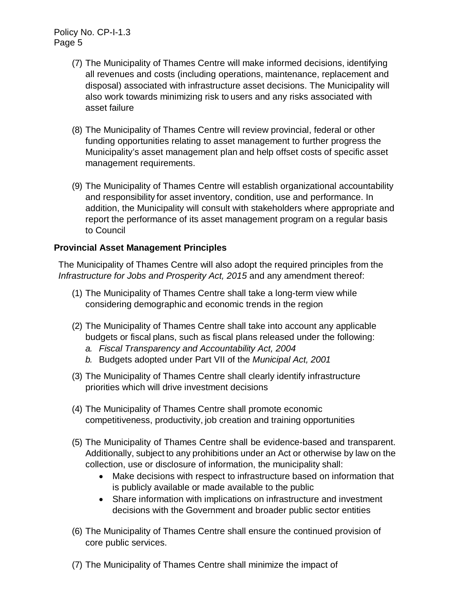- (7) The Municipality of Thames Centre will make informed decisions, identifying all revenues and costs (including operations, maintenance, replacement and disposal) associated with infrastructure asset decisions. The Municipality will also work towards minimizing risk to users and any risks associated with asset failure
- (8) The Municipality of Thames Centre will review provincial, federal or other funding opportunities relating to asset management to further progress the Municipality's asset management plan and help offset costs of specific asset management requirements.
- (9) The Municipality of Thames Centre will establish organizational accountability and responsibility for asset inventory, condition, use and performance. In addition, the Municipality will consult with stakeholders where appropriate and report the performance of its asset management program on a regular basis to Council

### **Provincial Asset Management Principles**

The Municipality of Thames Centre will also adopt the required principles from the *Infrastructure for Jobs and Prosperity Act, 2015* and any amendment thereof:

- (1) The Municipality of Thames Centre shall take a long-term view while considering demographic and economic trends in the region
- (2) The Municipality of Thames Centre shall take into account any applicable budgets or fiscal plans, such as fiscal plans released under the following:
	- *a. Fiscal Transparency and Accountability Act, 2004*
	- *b.* Budgets adopted under Part VII of the *Municipal Act, 2001*
- (3) The Municipality of Thames Centre shall clearly identify infrastructure priorities which will drive investment decisions
- (4) The Municipality of Thames Centre shall promote economic competitiveness, productivity, job creation and training opportunities
- (5) The Municipality of Thames Centre shall be evidence-based and transparent. Additionally, subject to any prohibitions under an Act or otherwise by law on the collection, use or disclosure of information, the municipality shall:
	- Make decisions with respect to infrastructure based on information that is publicly available or made available to the public
	- Share information with implications on infrastructure and investment decisions with the Government and broader public sector entities
- (6) The Municipality of Thames Centre shall ensure the continued provision of core public services.
- (7) The Municipality of Thames Centre shall minimize the impact of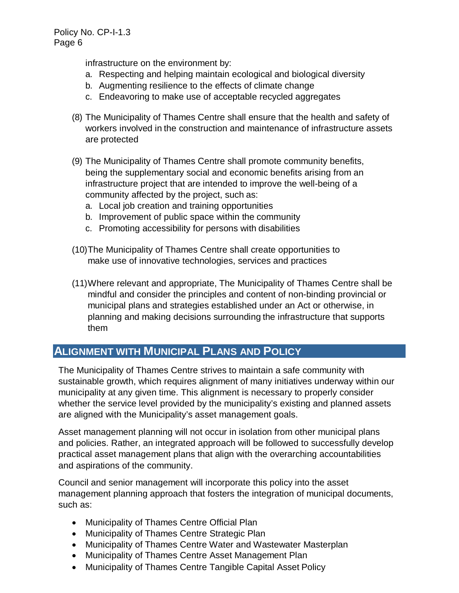infrastructure on the environment by:

- a. Respecting and helping maintain ecological and biological diversity
- b. Augmenting resilience to the effects of climate change
- c. Endeavoring to make use of acceptable recycled aggregates
- (8) The Municipality of Thames Centre shall ensure that the health and safety of workers involved in the construction and maintenance of infrastructure assets are protected
- (9) The Municipality of Thames Centre shall promote community benefits, being the supplementary social and economic benefits arising from an infrastructure project that are intended to improve the well-being of a community affected by the project, such as:
	- a. Local job creation and training opportunities
	- b. Improvement of public space within the community
	- c. Promoting accessibility for persons with disabilities
- (10)The Municipality of Thames Centre shall create opportunities to make use of innovative technologies, services and practices
- (11)Where relevant and appropriate, The Municipality of Thames Centre shall be mindful and consider the principles and content of non-binding provincial or municipal plans and strategies established under an Act or otherwise, in planning and making decisions surrounding the infrastructure that supports them

## **ALIGNMENT WITH MUNICIPAL PLANS AND POLICY**

The Municipality of Thames Centre strives to maintain a safe community with sustainable growth, which requires alignment of many initiatives underway within our municipality at any given time. This alignment is necessary to properly consider whether the service level provided by the municipality's existing and planned assets are aligned with the Municipality's asset management goals.

Asset management planning will not occur in isolation from other municipal plans and policies. Rather, an integrated approach will be followed to successfully develop practical asset management plans that align with the overarching accountabilities and aspirations of the community.

Council and senior management will incorporate this policy into the asset management planning approach that fosters the integration of municipal documents, such as:

- Municipality of Thames Centre Official Plan
- Municipality of Thames Centre Strategic Plan
- Municipality of Thames Centre Water and Wastewater Masterplan
- Municipality of Thames Centre Asset Management Plan
- Municipality of Thames Centre Tangible Capital Asset Policy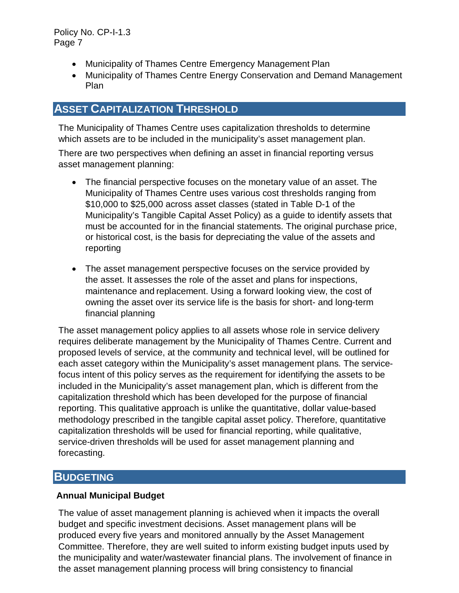- Municipality of Thames Centre Emergency Management Plan
- Municipality of Thames Centre Energy Conservation and Demand Management Plan

## **ASSET CAPITALIZATION THRESHOLD**

The Municipality of Thames Centre uses capitalization thresholds to determine which assets are to be included in the municipality's asset management plan.

There are two perspectives when defining an asset in financial reporting versus asset management planning:

- The financial perspective focuses on the monetary value of an asset. The Municipality of Thames Centre uses various cost thresholds ranging from \$10,000 to \$25,000 across asset classes (stated in Table D-1 of the Municipality's Tangible Capital Asset Policy) as a guide to identify assets that must be accounted for in the financial statements. The original purchase price, or historical cost, is the basis for depreciating the value of the assets and reporting
- The asset management perspective focuses on the service provided by the asset. It assesses the role of the asset and plans for inspections, maintenance and replacement. Using a forward looking view, the cost of owning the asset over its service life is the basis for short- and long-term financial planning

The asset management policy applies to all assets whose role in service delivery requires deliberate management by the Municipality of Thames Centre. Current and proposed levels of service, at the community and technical level, will be outlined for each asset category within the Municipality's asset management plans. The servicefocus intent of this policy serves as the requirement for identifying the assets to be included in the Municipality's asset management plan, which is different from the capitalization threshold which has been developed for the purpose of financial reporting. This qualitative approach is unlike the quantitative, dollar value-based methodology prescribed in the tangible capital asset policy. Therefore, quantitative capitalization thresholds will be used for financial reporting, while qualitative, service-driven thresholds will be used for asset management planning and forecasting.

## **BUDGETING**

#### **Annual Municipal Budget**

The value of asset management planning is achieved when it impacts the overall budget and specific investment decisions. Asset management plans will be produced every five years and monitored annually by the Asset Management Committee. Therefore, they are well suited to inform existing budget inputs used by the municipality and water/wastewater financial plans. The involvement of finance in the asset management planning process will bring consistency to financial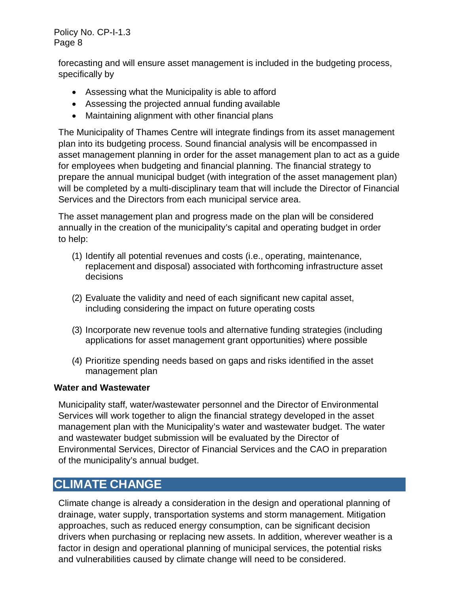forecasting and will ensure asset management is included in the budgeting process, specifically by

- Assessing what the Municipality is able to afford
- Assessing the projected annual funding available
- Maintaining alignment with other financial plans

The Municipality of Thames Centre will integrate findings from its asset management plan into its budgeting process. Sound financial analysis will be encompassed in asset management planning in order for the asset management plan to act as a guide for employees when budgeting and financial planning. The financial strategy to prepare the annual municipal budget (with integration of the asset management plan) will be completed by a multi-disciplinary team that will include the Director of Financial Services and the Directors from each municipal service area.

The asset management plan and progress made on the plan will be considered annually in the creation of the municipality's capital and operating budget in order to help:

- (1) Identify all potential revenues and costs (i.e., operating, maintenance, replacement and disposal) associated with forthcoming infrastructure asset decisions
- (2) Evaluate the validity and need of each significant new capital asset, including considering the impact on future operating costs
- (3) Incorporate new revenue tools and alternative funding strategies (including applications for asset management grant opportunities) where possible
- (4) Prioritize spending needs based on gaps and risks identified in the asset management plan

#### **Water and Wastewater**

Municipality staff, water/wastewater personnel and the Director of Environmental Services will work together to align the financial strategy developed in the asset management plan with the Municipality's water and wastewater budget. The water and wastewater budget submission will be evaluated by the Director of Environmental Services, Director of Financial Services and the CAO in preparation of the municipality's annual budget.

## **CLIMATE CHANGE**

Climate change is already a consideration in the design and operational planning of drainage, water supply, transportation systems and storm management. Mitigation approaches, such as reduced energy consumption, can be significant decision drivers when purchasing or replacing new assets. In addition, wherever weather is a factor in design and operational planning of municipal services, the potential risks and vulnerabilities caused by climate change will need to be considered.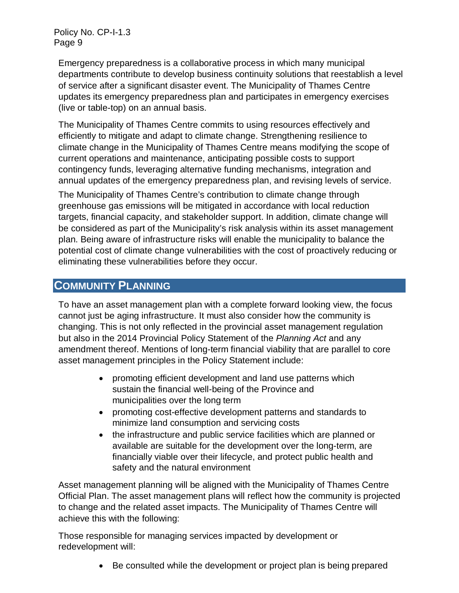Emergency preparedness is a collaborative process in which many municipal departments contribute to develop business continuity solutions that reestablish a level of service after a significant disaster event. The Municipality of Thames Centre updates its emergency preparedness plan and participates in emergency exercises (live or table-top) on an annual basis.

The Municipality of Thames Centre commits to using resources effectively and efficiently to mitigate and adapt to climate change. Strengthening resilience to climate change in the Municipality of Thames Centre means modifying the scope of current operations and maintenance, anticipating possible costs to support contingency funds, leveraging alternative funding mechanisms, integration and annual updates of the emergency preparedness plan, and revising levels of service.

The Municipality of Thames Centre's contribution to climate change through greenhouse gas emissions will be mitigated in accordance with local reduction targets, financial capacity, and stakeholder support. In addition, climate change will be considered as part of the Municipality's risk analysis within its asset management plan. Being aware of infrastructure risks will enable the municipality to balance the potential cost of climate change vulnerabilities with the cost of proactively reducing or eliminating these vulnerabilities before they occur.

## **COMMUNITY PLANNING**

To have an asset management plan with a complete forward looking view, the focus cannot just be aging infrastructure. It must also consider how the community is changing. This is not only reflected in the provincial asset management regulation but also in the 2014 Provincial Policy Statement of the *Planning Act* and any amendment thereof. Mentions of long-term financial viability that are parallel to core asset management principles in the Policy Statement include:

- promoting efficient development and land use patterns which sustain the financial well-being of the Province and municipalities over the long term
- promoting cost-effective development patterns and standards to minimize land consumption and servicing costs
- the infrastructure and public service facilities which are planned or available are suitable for the development over the long-term, are financially viable over their lifecycle, and protect public health and safety and the natural environment

Asset management planning will be aligned with the Municipality of Thames Centre Official Plan. The asset management plans will reflect how the community is projected to change and the related asset impacts. The Municipality of Thames Centre will achieve this with the following:

Those responsible for managing services impacted by development or redevelopment will:

• Be consulted while the development or project plan is being prepared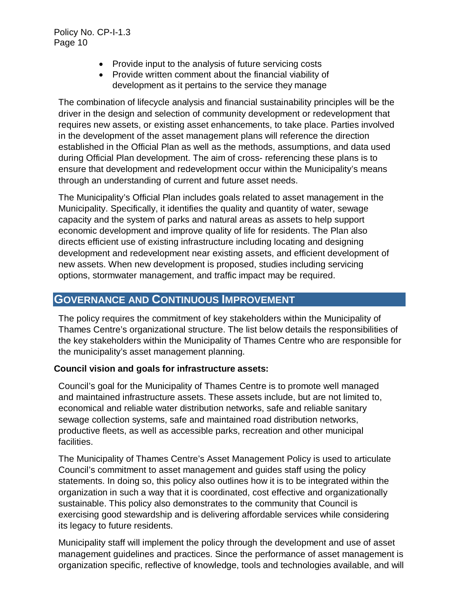- Provide input to the analysis of future servicing costs
- Provide written comment about the financial viability of development as it pertains to the service they manage

The combination of lifecycle analysis and financial sustainability principles will be the driver in the design and selection of community development or redevelopment that requires new assets, or existing asset enhancements, to take place. Parties involved in the development of the asset management plans will reference the direction established in the Official Plan as well as the methods, assumptions, and data used during Official Plan development. The aim of cross- referencing these plans is to ensure that development and redevelopment occur within the Municipality's means through an understanding of current and future asset needs.

The Municipality's Official Plan includes goals related to asset management in the Municipality. Specifically, it identifies the quality and quantity of water, sewage capacity and the system of parks and natural areas as assets to help support economic development and improve quality of life for residents. The Plan also directs efficient use of existing infrastructure including locating and designing development and redevelopment near existing assets, and efficient development of new assets. When new development is proposed, studies including servicing options, stormwater management, and traffic impact may be required.

### **GOVERNANCE AND CONTINUOUS IMPROVEMENT**

The policy requires the commitment of key stakeholders within the Municipality of Thames Centre's organizational structure. The list below details the responsibilities of the key stakeholders within the Municipality of Thames Centre who are responsible for the municipality's asset management planning.

#### **Council vision and goals for infrastructure assets:**

Council's goal for the Municipality of Thames Centre is to promote well managed and maintained infrastructure assets. These assets include, but are not limited to, economical and reliable water distribution networks, safe and reliable sanitary sewage collection systems, safe and maintained road distribution networks, productive fleets, as well as accessible parks, recreation and other municipal facilities.

The Municipality of Thames Centre's Asset Management Policy is used to articulate Council's commitment to asset management and guides staff using the policy statements. In doing so, this policy also outlines how it is to be integrated within the organization in such a way that it is coordinated, cost effective and organizationally sustainable. This policy also demonstrates to the community that Council is exercising good stewardship and is delivering affordable services while considering its legacy to future residents.

Municipality staff will implement the policy through the development and use of asset management guidelines and practices. Since the performance of asset management is organization specific, reflective of knowledge, tools and technologies available, and will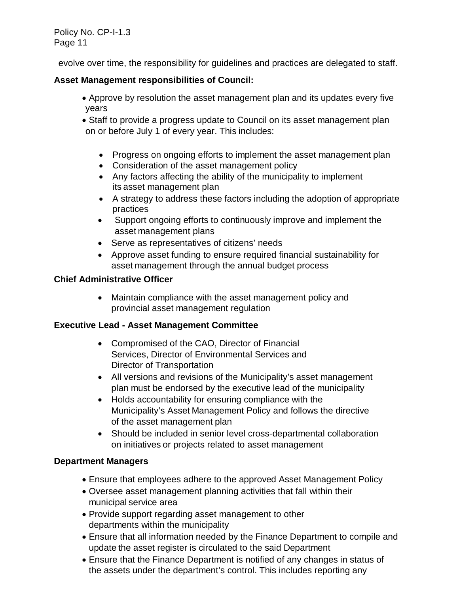evolve over time, the responsibility for guidelines and practices are delegated to staff.

### **Asset Management responsibilities of Council:**

- Approve by resolution the asset management plan and its updates every five years
- Staff to provide a progress update to Council on its asset management plan on or before July 1 of every year. This includes:
	- Progress on ongoing efforts to implement the asset management plan
	- Consideration of the asset management policy
	- Any factors affecting the ability of the municipality to implement its asset management plan
	- A strategy to address these factors including the adoption of appropriate practices
	- Support ongoing efforts to continuously improve and implement the asset management plans
	- Serve as representatives of citizens' needs
	- Approve asset funding to ensure required financial sustainability for asset management through the annual budget process

### **Chief Administrative Officer**

• Maintain compliance with the asset management policy and provincial asset management regulation

### **Executive Lead - Asset Management Committee**

- Compromised of the CAO, Director of Financial Services, Director of Environmental Services and Director of Transportation
- All versions and revisions of the Municipality's asset management plan must be endorsed by the executive lead of the municipality
- Holds accountability for ensuring compliance with the Municipality's Asset Management Policy and follows the directive of the asset management plan
- Should be included in senior level cross-departmental collaboration on initiatives or projects related to asset management

### **Department Managers**

- Ensure that employees adhere to the approved Asset Management Policy
- Oversee asset management planning activities that fall within their municipal service area
- Provide support regarding asset management to other departments within the municipality
- Ensure that all information needed by the Finance Department to compile and update the asset register is circulated to the said Department
- Ensure that the Finance Department is notified of any changes in status of the assets under the department's control. This includes reporting any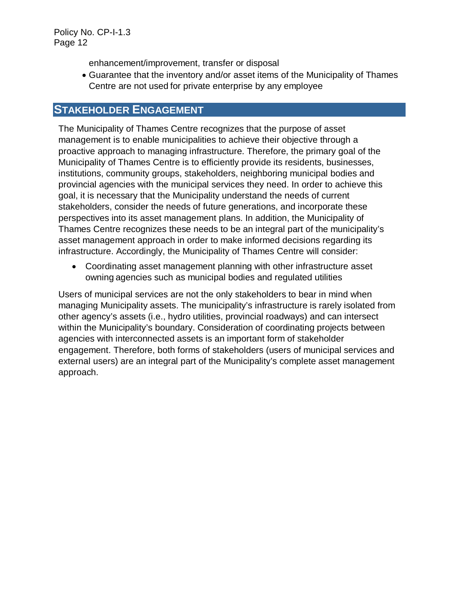enhancement/improvement, transfer or disposal

• Guarantee that the inventory and/or asset items of the Municipality of Thames Centre are not used for private enterprise by any employee

## **STAKEHOLDER ENGAGEMENT**

The Municipality of Thames Centre recognizes that the purpose of asset management is to enable municipalities to achieve their objective through a proactive approach to managing infrastructure. Therefore, the primary goal of the Municipality of Thames Centre is to efficiently provide its residents, businesses, institutions, community groups, stakeholders, neighboring municipal bodies and provincial agencies with the municipal services they need. In order to achieve this goal, it is necessary that the Municipality understand the needs of current stakeholders, consider the needs of future generations, and incorporate these perspectives into its asset management plans. In addition, the Municipality of Thames Centre recognizes these needs to be an integral part of the municipality's asset management approach in order to make informed decisions regarding its infrastructure. Accordingly, the Municipality of Thames Centre will consider:

• Coordinating asset management planning with other infrastructure asset owning agencies such as municipal bodies and regulated utilities

Users of municipal services are not the only stakeholders to bear in mind when managing Municipality assets. The municipality's infrastructure is rarely isolated from other agency's assets (i.e., hydro utilities, provincial roadways) and can intersect within the Municipality's boundary. Consideration of coordinating projects between agencies with interconnected assets is an important form of stakeholder engagement. Therefore, both forms of stakeholders (users of municipal services and external users) are an integral part of the Municipality's complete asset management approach.